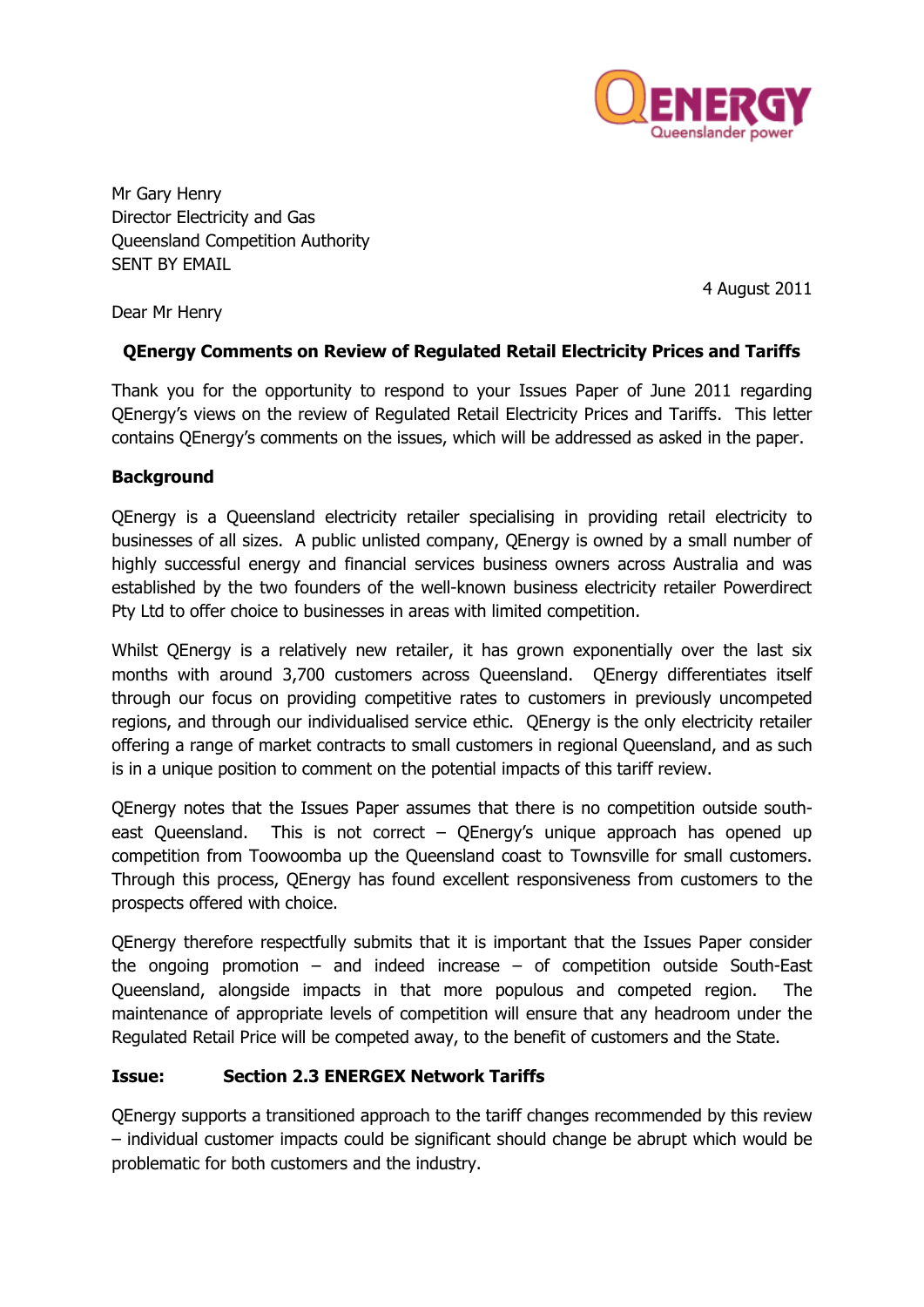

Mr Gary Henry Director Electricity and Gas Queensland Competition Authority SENT BY EMAIL

4 August 2011

Dear Mr Henry

### **QEnergy Comments on Review of Regulated Retail Electricity Prices and Tariffs**

Thank you for the opportunity to respond to your Issues Paper of June 2011 regarding QEnergy's views on the review of Regulated Retail Electricity Prices and Tariffs. This letter contains QEnergy's comments on the issues, which will be addressed as asked in the paper.

#### **Background**

QEnergy is a Queensland electricity retailer specialising in providing retail electricity to businesses of all sizes. A public unlisted company, QEnergy is owned by a small number of highly successful energy and financial services business owners across Australia and was established by the two founders of the well-known business electricity retailer Powerdirect Pty Ltd to offer choice to businesses in areas with limited competition.

Whilst QEnergy is a relatively new retailer, it has grown exponentially over the last six months with around 3,700 customers across Queensland. QEnergy differentiates itself through our focus on providing competitive rates to customers in previously uncompeted regions, and through our individualised service ethic. QEnergy is the only electricity retailer offering a range of market contracts to small customers in regional Queensland, and as such is in a unique position to comment on the potential impacts of this tariff review.

QEnergy notes that the Issues Paper assumes that there is no competition outside southeast Queensland. This is not correct – QEnergy's unique approach has opened up competition from Toowoomba up the Queensland coast to Townsville for small customers. Through this process, QEnergy has found excellent responsiveness from customers to the prospects offered with choice.

QEnergy therefore respectfully submits that it is important that the Issues Paper consider the ongoing promotion – and indeed increase – of competition outside South-East Queensland, alongside impacts in that more populous and competed region. The maintenance of appropriate levels of competition will ensure that any headroom under the Regulated Retail Price will be competed away, to the benefit of customers and the State.

#### **Issue: Section 2.3 ENERGEX Network Tariffs**

QEnergy supports a transitioned approach to the tariff changes recommended by this review – individual customer impacts could be significant should change be abrupt which would be problematic for both customers and the industry.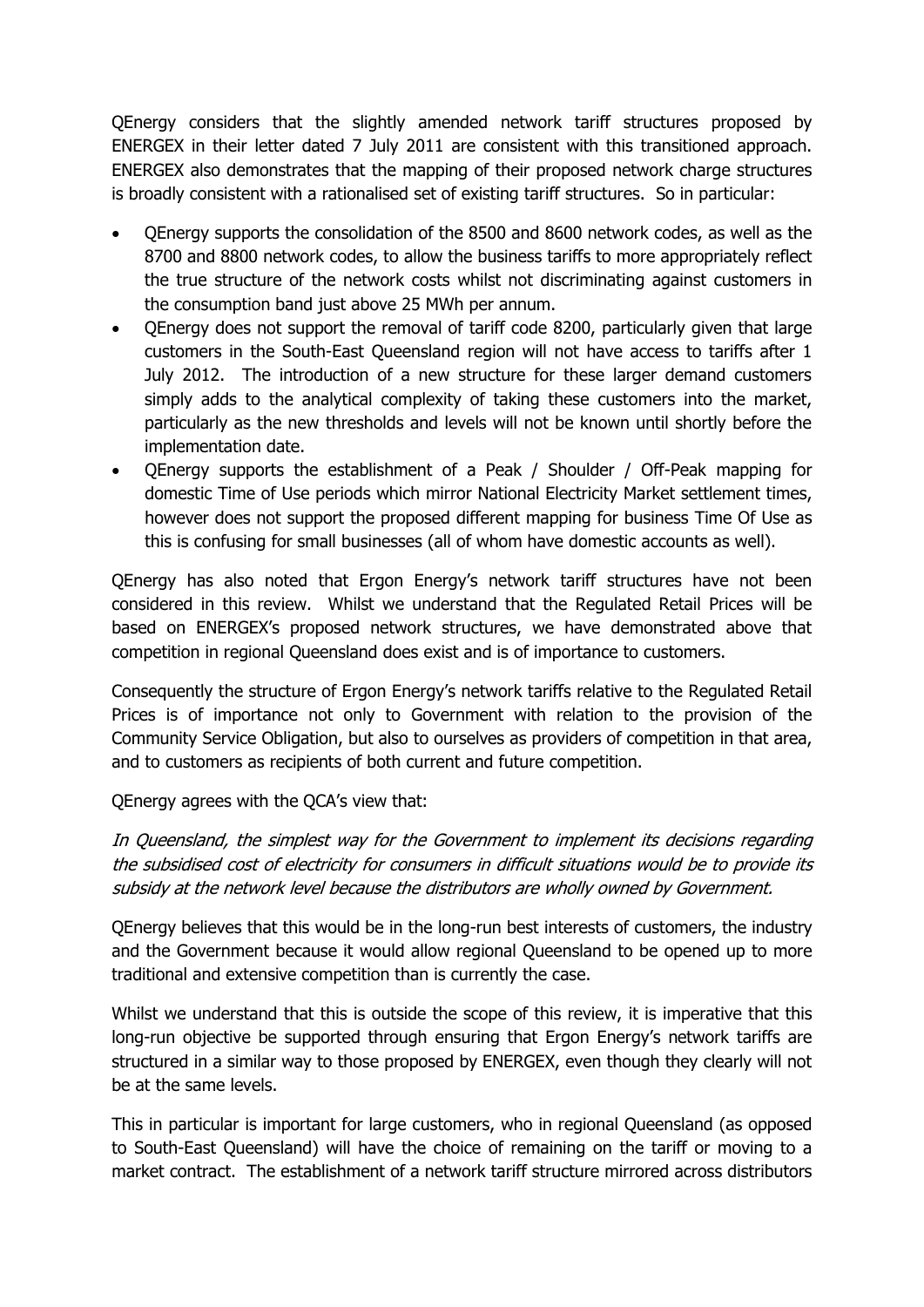QEnergy considers that the slightly amended network tariff structures proposed by ENERGEX in their letter dated 7 July 2011 are consistent with this transitioned approach. ENERGEX also demonstrates that the mapping of their proposed network charge structures is broadly consistent with a rationalised set of existing tariff structures. So in particular:

- QEnergy supports the consolidation of the 8500 and 8600 network codes, as well as the 8700 and 8800 network codes, to allow the business tariffs to more appropriately reflect the true structure of the network costs whilst not discriminating against customers in the consumption band just above 25 MWh per annum.
- QEnergy does not support the removal of tariff code 8200, particularly given that large customers in the South-East Queensland region will not have access to tariffs after 1 July 2012. The introduction of a new structure for these larger demand customers simply adds to the analytical complexity of taking these customers into the market, particularly as the new thresholds and levels will not be known until shortly before the implementation date.
- QEnergy supports the establishment of a Peak / Shoulder / Off-Peak mapping for domestic Time of Use periods which mirror National Electricity Market settlement times, however does not support the proposed different mapping for business Time Of Use as this is confusing for small businesses (all of whom have domestic accounts as well).

QEnergy has also noted that Ergon Energy's network tariff structures have not been considered in this review. Whilst we understand that the Regulated Retail Prices will be based on ENERGEX's proposed network structures, we have demonstrated above that competition in regional Queensland does exist and is of importance to customers.

Consequently the structure of Ergon Energy's network tariffs relative to the Regulated Retail Prices is of importance not only to Government with relation to the provision of the Community Service Obligation, but also to ourselves as providers of competition in that area, and to customers as recipients of both current and future competition.

QEnergy agrees with the QCA's view that:

In Queensland, the simplest way for the Government to implement its decisions regarding the subsidised cost of electricity for consumers in difficult situations would be to provide its subsidy at the network level because the distributors are wholly owned by Government.

QEnergy believes that this would be in the long-run best interests of customers, the industry and the Government because it would allow regional Queensland to be opened up to more traditional and extensive competition than is currently the case.

Whilst we understand that this is outside the scope of this review, it is imperative that this long-run objective be supported through ensuring that Ergon Energy's network tariffs are structured in a similar way to those proposed by ENERGEX, even though they clearly will not be at the same levels.

This in particular is important for large customers, who in regional Queensland (as opposed to South-East Queensland) will have the choice of remaining on the tariff or moving to a market contract. The establishment of a network tariff structure mirrored across distributors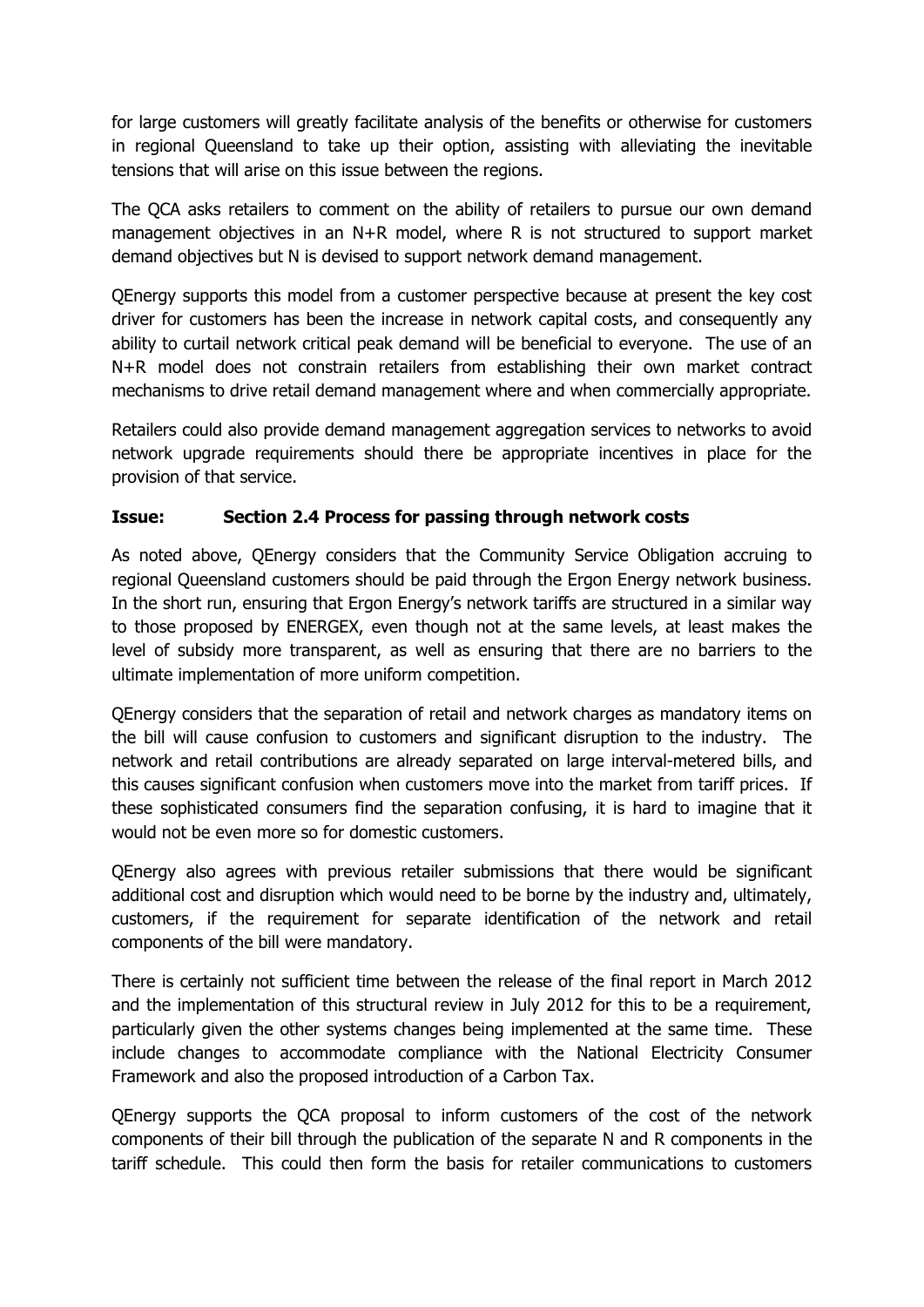for large customers will greatly facilitate analysis of the benefits or otherwise for customers in regional Queensland to take up their option, assisting with alleviating the inevitable tensions that will arise on this issue between the regions.

The QCA asks retailers to comment on the ability of retailers to pursue our own demand management objectives in an N+R model, where R is not structured to support market demand objectives but N is devised to support network demand management.

QEnergy supports this model from a customer perspective because at present the key cost driver for customers has been the increase in network capital costs, and consequently any ability to curtail network critical peak demand will be beneficial to everyone. The use of an N+R model does not constrain retailers from establishing their own market contract mechanisms to drive retail demand management where and when commercially appropriate.

Retailers could also provide demand management aggregation services to networks to avoid network upgrade requirements should there be appropriate incentives in place for the provision of that service.

### **Issue: Section 2.4 Process for passing through network costs**

As noted above, QEnergy considers that the Community Service Obligation accruing to regional Queensland customers should be paid through the Ergon Energy network business. In the short run, ensuring that Ergon Energy's network tariffs are structured in a similar way to those proposed by ENERGEX, even though not at the same levels, at least makes the level of subsidy more transparent, as well as ensuring that there are no barriers to the ultimate implementation of more uniform competition.

QEnergy considers that the separation of retail and network charges as mandatory items on the bill will cause confusion to customers and significant disruption to the industry. The network and retail contributions are already separated on large interval-metered bills, and this causes significant confusion when customers move into the market from tariff prices. If these sophisticated consumers find the separation confusing, it is hard to imagine that it would not be even more so for domestic customers.

QEnergy also agrees with previous retailer submissions that there would be significant additional cost and disruption which would need to be borne by the industry and, ultimately, customers, if the requirement for separate identification of the network and retail components of the bill were mandatory.

There is certainly not sufficient time between the release of the final report in March 2012 and the implementation of this structural review in July 2012 for this to be a requirement, particularly given the other systems changes being implemented at the same time. These include changes to accommodate compliance with the National Electricity Consumer Framework and also the proposed introduction of a Carbon Tax.

QEnergy supports the QCA proposal to inform customers of the cost of the network components of their bill through the publication of the separate N and R components in the tariff schedule. This could then form the basis for retailer communications to customers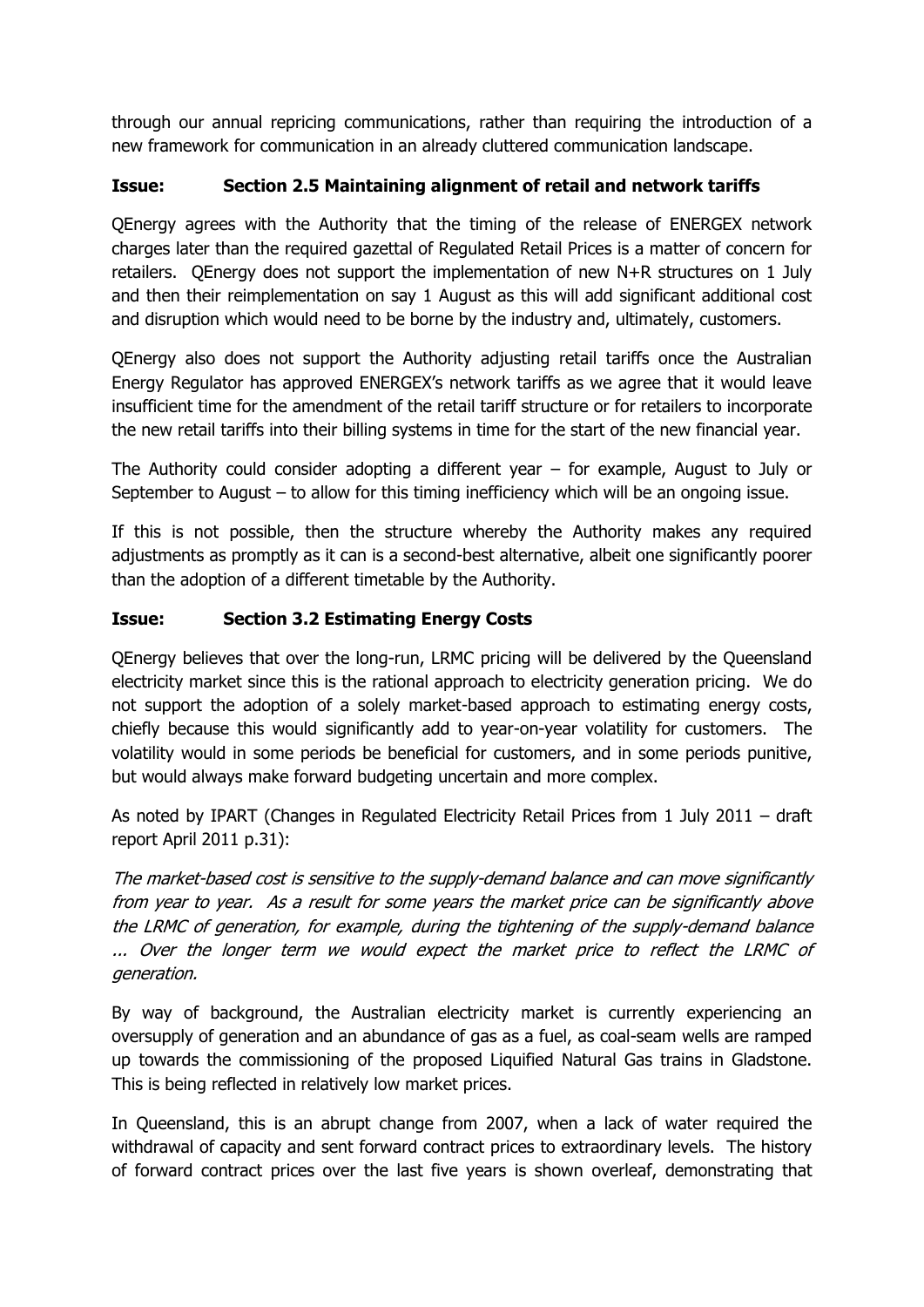through our annual repricing communications, rather than requiring the introduction of a new framework for communication in an already cluttered communication landscape.

# **Issue: Section 2.5 Maintaining alignment of retail and network tariffs**

QEnergy agrees with the Authority that the timing of the release of ENERGEX network charges later than the required gazettal of Regulated Retail Prices is a matter of concern for retailers. QEnergy does not support the implementation of new N+R structures on 1 July and then their reimplementation on say 1 August as this will add significant additional cost and disruption which would need to be borne by the industry and, ultimately, customers.

QEnergy also does not support the Authority adjusting retail tariffs once the Australian Energy Regulator has approved ENERGEX's network tariffs as we agree that it would leave insufficient time for the amendment of the retail tariff structure or for retailers to incorporate the new retail tariffs into their billing systems in time for the start of the new financial year.

The Authority could consider adopting a different year – for example, August to July or September to August – to allow for this timing inefficiency which will be an ongoing issue.

If this is not possible, then the structure whereby the Authority makes any required adjustments as promptly as it can is a second-best alternative, albeit one significantly poorer than the adoption of a different timetable by the Authority.

## **Issue: Section 3.2 Estimating Energy Costs**

QEnergy believes that over the long-run, LRMC pricing will be delivered by the Queensland electricity market since this is the rational approach to electricity generation pricing. We do not support the adoption of a solely market-based approach to estimating energy costs, chiefly because this would significantly add to year-on-year volatility for customers. The volatility would in some periods be beneficial for customers, and in some periods punitive, but would always make forward budgeting uncertain and more complex.

As noted by IPART (Changes in Regulated Electricity Retail Prices from 1 July 2011 – draft report April 2011 p.31):

The market-based cost is sensitive to the supply-demand balance and can move significantly from year to year. As a result for some years the market price can be significantly above the LRMC of generation, for example, during the tightening of the supply-demand balance ... Over the longer term we would expect the market price to reflect the LRMC of generation.

By way of background, the Australian electricity market is currently experiencing an oversupply of generation and an abundance of gas as a fuel, as coal-seam wells are ramped up towards the commissioning of the proposed Liquified Natural Gas trains in Gladstone. This is being reflected in relatively low market prices.

In Queensland, this is an abrupt change from 2007, when a lack of water required the withdrawal of capacity and sent forward contract prices to extraordinary levels. The history of forward contract prices over the last five years is shown overleaf, demonstrating that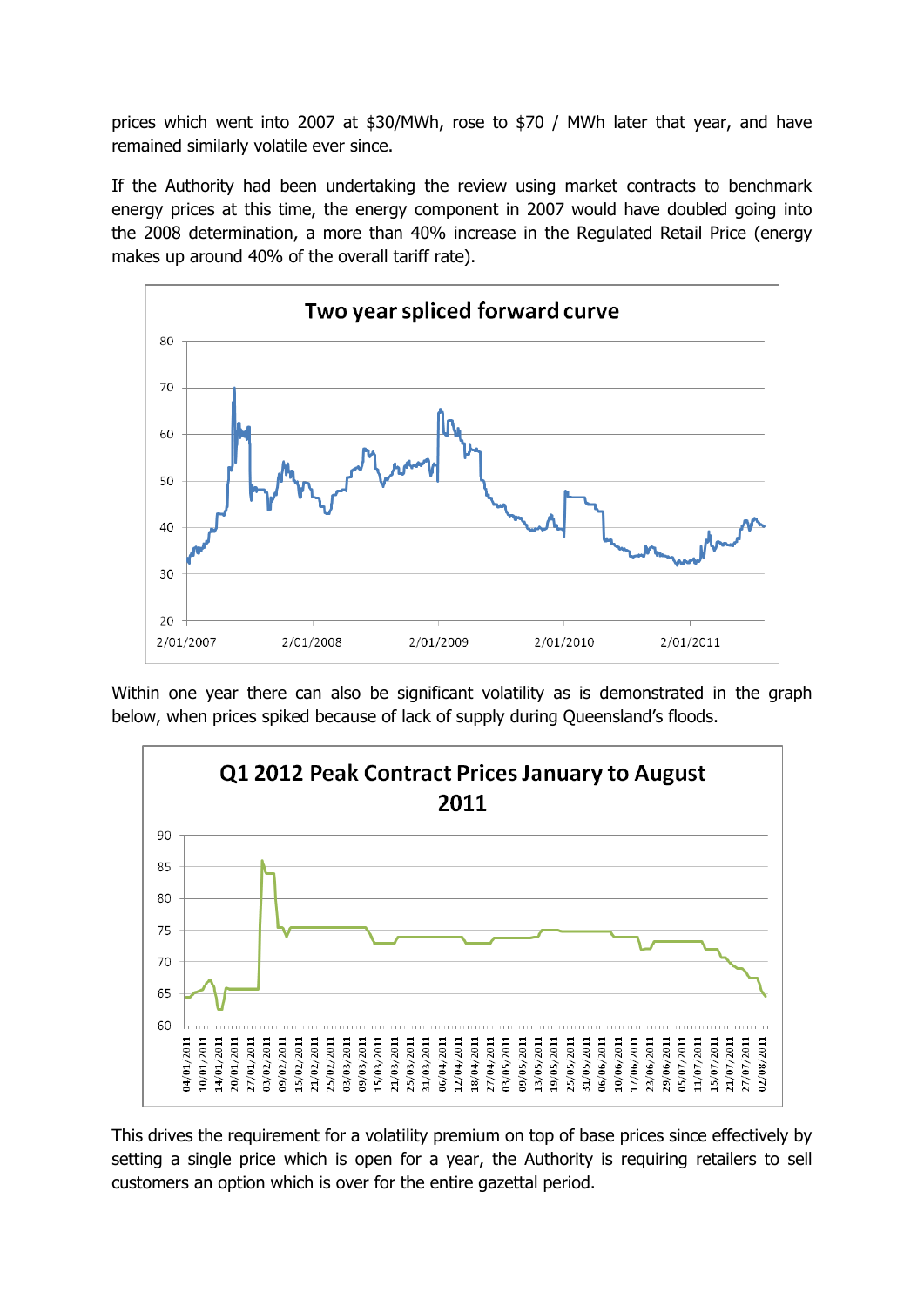prices which went into 2007 at \$30/MWh, rose to \$70 / MWh later that year, and have remained similarly volatile ever since.

If the Authority had been undertaking the review using market contracts to benchmark energy prices at this time, the energy component in 2007 would have doubled going into the 2008 determination, a more than 40% increase in the Regulated Retail Price (energy makes up around 40% of the overall tariff rate).



Within one year there can also be significant volatility as is demonstrated in the graph below, when prices spiked because of lack of supply during Queensland's floods.



This drives the requirement for a volatility premium on top of base prices since effectively by setting a single price which is open for a year, the Authority is requiring retailers to sell customers an option which is over for the entire gazettal period.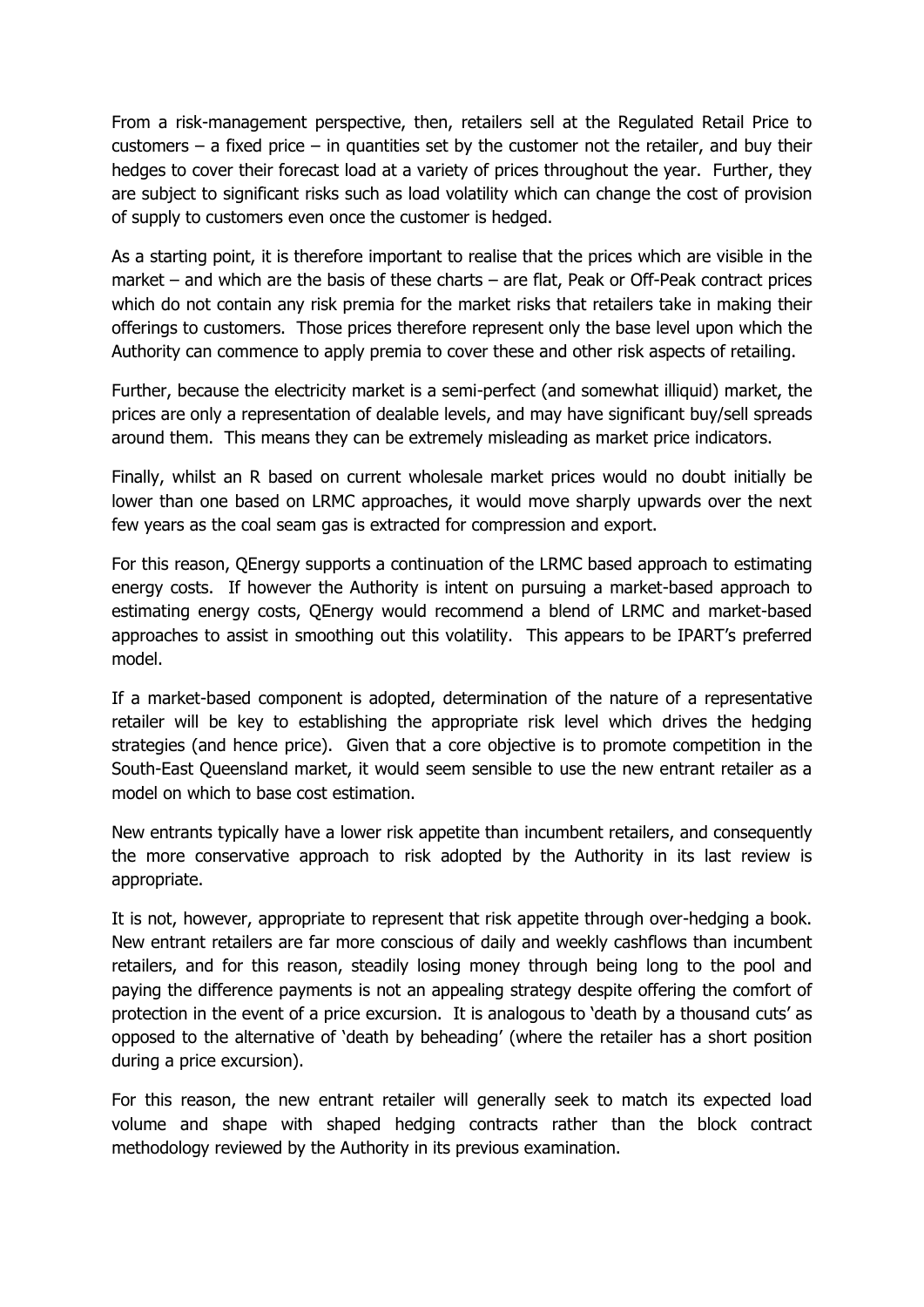From a risk-management perspective, then, retailers sell at the Regulated Retail Price to customers – a fixed price – in quantities set by the customer not the retailer, and buy their hedges to cover their forecast load at a variety of prices throughout the year. Further, they are subject to significant risks such as load volatility which can change the cost of provision of supply to customers even once the customer is hedged.

As a starting point, it is therefore important to realise that the prices which are visible in the market – and which are the basis of these charts – are flat, Peak or Off-Peak contract prices which do not contain any risk premia for the market risks that retailers take in making their offerings to customers. Those prices therefore represent only the base level upon which the Authority can commence to apply premia to cover these and other risk aspects of retailing.

Further, because the electricity market is a semi-perfect (and somewhat illiquid) market, the prices are only a representation of dealable levels, and may have significant buy/sell spreads around them. This means they can be extremely misleading as market price indicators.

Finally, whilst an R based on current wholesale market prices would no doubt initially be lower than one based on LRMC approaches, it would move sharply upwards over the next few years as the coal seam gas is extracted for compression and export.

For this reason, QEnergy supports a continuation of the LRMC based approach to estimating energy costs. If however the Authority is intent on pursuing a market-based approach to estimating energy costs, QEnergy would recommend a blend of LRMC and market-based approaches to assist in smoothing out this volatility. This appears to be IPART's preferred model.

If a market-based component is adopted, determination of the nature of a representative retailer will be key to establishing the appropriate risk level which drives the hedging strategies (and hence price). Given that a core objective is to promote competition in the South-East Queensland market, it would seem sensible to use the new entrant retailer as a model on which to base cost estimation.

New entrants typically have a lower risk appetite than incumbent retailers, and consequently the more conservative approach to risk adopted by the Authority in its last review is appropriate.

It is not, however, appropriate to represent that risk appetite through over-hedging a book. New entrant retailers are far more conscious of daily and weekly cashflows than incumbent retailers, and for this reason, steadily losing money through being long to the pool and paying the difference payments is not an appealing strategy despite offering the comfort of protection in the event of a price excursion. It is analogous to 'death by a thousand cuts' as opposed to the alternative of 'death by beheading' (where the retailer has a short position during a price excursion).

For this reason, the new entrant retailer will generally seek to match its expected load volume and shape with shaped hedging contracts rather than the block contract methodology reviewed by the Authority in its previous examination.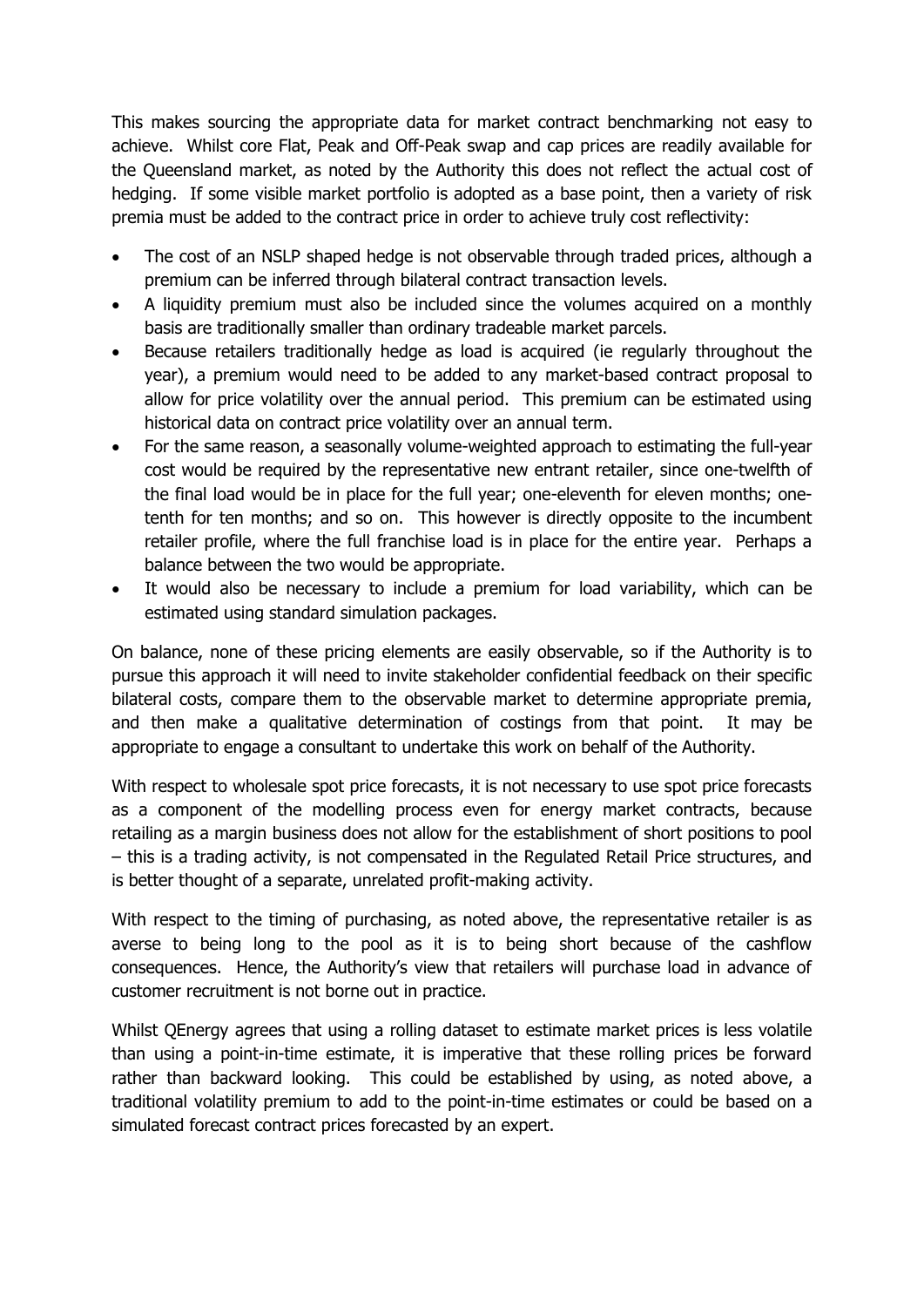This makes sourcing the appropriate data for market contract benchmarking not easy to achieve. Whilst core Flat, Peak and Off-Peak swap and cap prices are readily available for the Queensland market, as noted by the Authority this does not reflect the actual cost of hedging. If some visible market portfolio is adopted as a base point, then a variety of risk premia must be added to the contract price in order to achieve truly cost reflectivity:

- The cost of an NSLP shaped hedge is not observable through traded prices, although a premium can be inferred through bilateral contract transaction levels.
- A liquidity premium must also be included since the volumes acquired on a monthly basis are traditionally smaller than ordinary tradeable market parcels.
- Because retailers traditionally hedge as load is acquired (ie regularly throughout the year), a premium would need to be added to any market-based contract proposal to allow for price volatility over the annual period. This premium can be estimated using historical data on contract price volatility over an annual term.
- For the same reason, a seasonally volume-weighted approach to estimating the full-year cost would be required by the representative new entrant retailer, since one-twelfth of the final load would be in place for the full year; one-eleventh for eleven months; onetenth for ten months; and so on. This however is directly opposite to the incumbent retailer profile, where the full franchise load is in place for the entire year. Perhaps a balance between the two would be appropriate.
- It would also be necessary to include a premium for load variability, which can be estimated using standard simulation packages.

On balance, none of these pricing elements are easily observable, so if the Authority is to pursue this approach it will need to invite stakeholder confidential feedback on their specific bilateral costs, compare them to the observable market to determine appropriate premia, and then make a qualitative determination of costings from that point. It may be appropriate to engage a consultant to undertake this work on behalf of the Authority.

With respect to wholesale spot price forecasts, it is not necessary to use spot price forecasts as a component of the modelling process even for energy market contracts, because retailing as a margin business does not allow for the establishment of short positions to pool – this is a trading activity, is not compensated in the Regulated Retail Price structures, and is better thought of a separate, unrelated profit-making activity.

With respect to the timing of purchasing, as noted above, the representative retailer is as averse to being long to the pool as it is to being short because of the cashflow consequences. Hence, the Authority's view that retailers will purchase load in advance of customer recruitment is not borne out in practice.

Whilst QEnergy agrees that using a rolling dataset to estimate market prices is less volatile than using a point-in-time estimate, it is imperative that these rolling prices be forward rather than backward looking. This could be established by using, as noted above, a traditional volatility premium to add to the point-in-time estimates or could be based on a simulated forecast contract prices forecasted by an expert.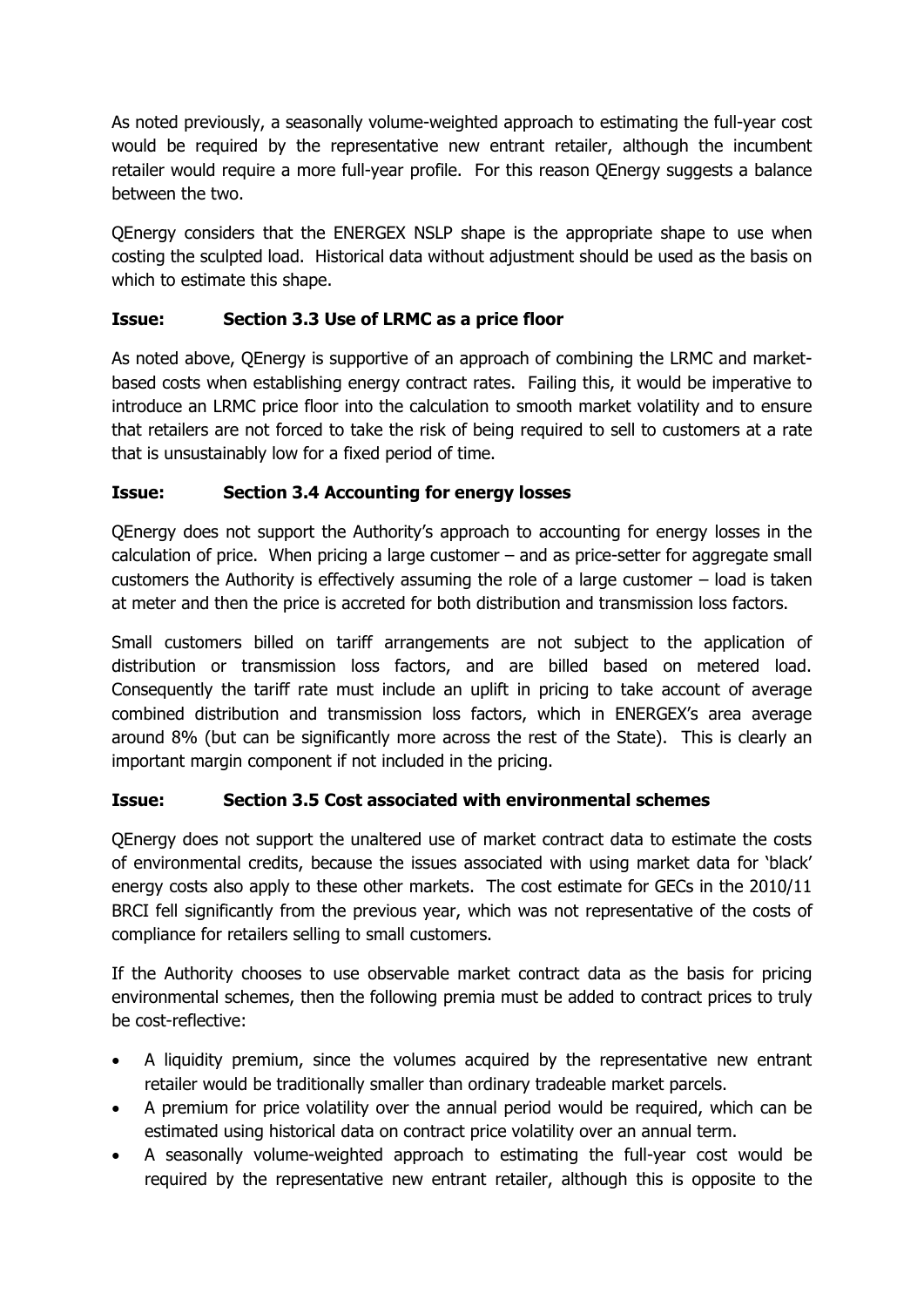As noted previously, a seasonally volume-weighted approach to estimating the full-year cost would be required by the representative new entrant retailer, although the incumbent retailer would require a more full-year profile. For this reason QEnergy suggests a balance between the two.

QEnergy considers that the ENERGEX NSLP shape is the appropriate shape to use when costing the sculpted load. Historical data without adjustment should be used as the basis on which to estimate this shape.

## **Issue: Section 3.3 Use of LRMC as a price floor**

As noted above, QEnergy is supportive of an approach of combining the LRMC and marketbased costs when establishing energy contract rates. Failing this, it would be imperative to introduce an LRMC price floor into the calculation to smooth market volatility and to ensure that retailers are not forced to take the risk of being required to sell to customers at a rate that is unsustainably low for a fixed period of time.

## **Issue: Section 3.4 Accounting for energy losses**

QEnergy does not support the Authority's approach to accounting for energy losses in the calculation of price. When pricing a large customer – and as price-setter for aggregate small customers the Authority is effectively assuming the role of a large customer – load is taken at meter and then the price is accreted for both distribution and transmission loss factors.

Small customers billed on tariff arrangements are not subject to the application of distribution or transmission loss factors, and are billed based on metered load. Consequently the tariff rate must include an uplift in pricing to take account of average combined distribution and transmission loss factors, which in ENERGEX's area average around 8% (but can be significantly more across the rest of the State). This is clearly an important margin component if not included in the pricing.

## **Issue: Section 3.5 Cost associated with environmental schemes**

QEnergy does not support the unaltered use of market contract data to estimate the costs of environmental credits, because the issues associated with using market data for 'black' energy costs also apply to these other markets. The cost estimate for GECs in the 2010/11 BRCI fell significantly from the previous year, which was not representative of the costs of compliance for retailers selling to small customers.

If the Authority chooses to use observable market contract data as the basis for pricing environmental schemes, then the following premia must be added to contract prices to truly be cost-reflective:

- A liquidity premium, since the volumes acquired by the representative new entrant retailer would be traditionally smaller than ordinary tradeable market parcels.
- A premium for price volatility over the annual period would be required, which can be estimated using historical data on contract price volatility over an annual term.
- A seasonally volume-weighted approach to estimating the full-year cost would be required by the representative new entrant retailer, although this is opposite to the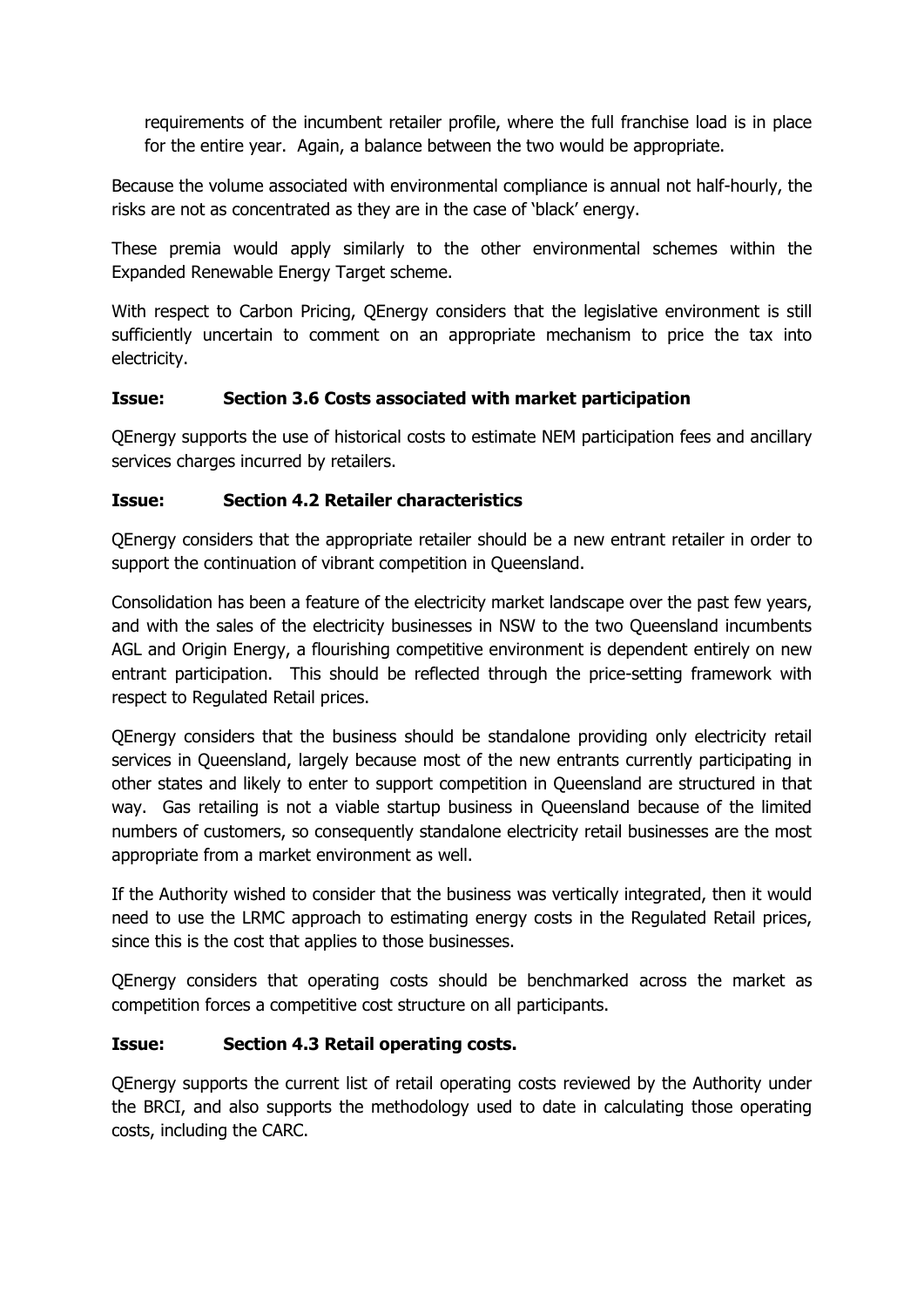requirements of the incumbent retailer profile, where the full franchise load is in place for the entire year. Again, a balance between the two would be appropriate.

Because the volume associated with environmental compliance is annual not half-hourly, the risks are not as concentrated as they are in the case of 'black' energy.

These premia would apply similarly to the other environmental schemes within the Expanded Renewable Energy Target scheme.

With respect to Carbon Pricing, QEnergy considers that the legislative environment is still sufficiently uncertain to comment on an appropriate mechanism to price the tax into electricity.

### **Issue: Section 3.6 Costs associated with market participation**

QEnergy supports the use of historical costs to estimate NEM participation fees and ancillary services charges incurred by retailers.

### **Issue: Section 4.2 Retailer characteristics**

QEnergy considers that the appropriate retailer should be a new entrant retailer in order to support the continuation of vibrant competition in Queensland.

Consolidation has been a feature of the electricity market landscape over the past few years, and with the sales of the electricity businesses in NSW to the two Queensland incumbents AGL and Origin Energy, a flourishing competitive environment is dependent entirely on new entrant participation. This should be reflected through the price-setting framework with respect to Regulated Retail prices.

QEnergy considers that the business should be standalone providing only electricity retail services in Queensland, largely because most of the new entrants currently participating in other states and likely to enter to support competition in Queensland are structured in that way. Gas retailing is not a viable startup business in Queensland because of the limited numbers of customers, so consequently standalone electricity retail businesses are the most appropriate from a market environment as well.

If the Authority wished to consider that the business was vertically integrated, then it would need to use the LRMC approach to estimating energy costs in the Regulated Retail prices, since this is the cost that applies to those businesses.

QEnergy considers that operating costs should be benchmarked across the market as competition forces a competitive cost structure on all participants.

#### **Issue: Section 4.3 Retail operating costs.**

QEnergy supports the current list of retail operating costs reviewed by the Authority under the BRCI, and also supports the methodology used to date in calculating those operating costs, including the CARC.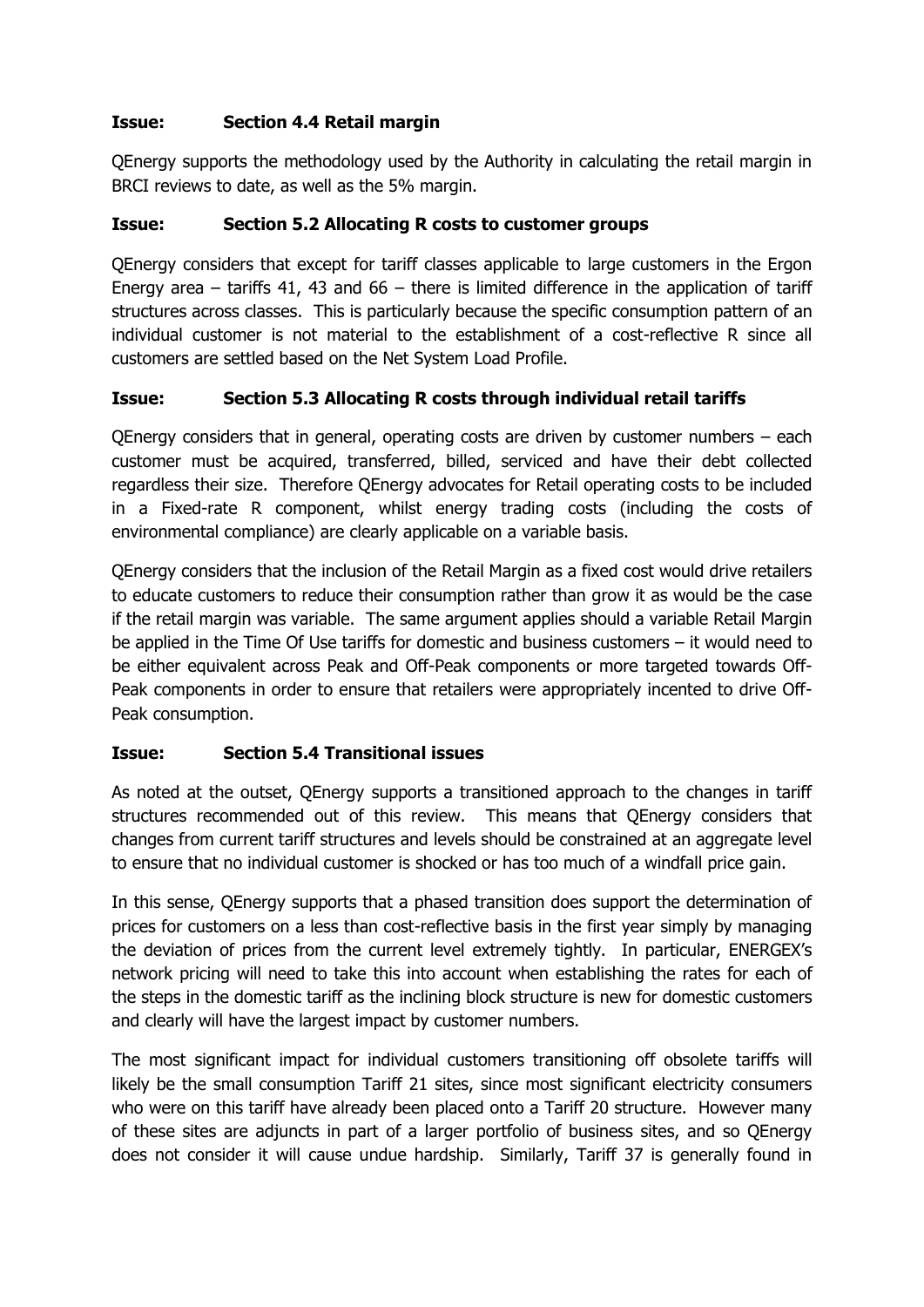## **Issue: Section 4.4 Retail margin**

QEnergy supports the methodology used by the Authority in calculating the retail margin in BRCI reviews to date, as well as the 5% margin.

#### **Issue: Section 5.2 Allocating R costs to customer groups**

QEnergy considers that except for tariff classes applicable to large customers in the Ergon Energy area – tariffs 41, 43 and 66 – there is limited difference in the application of tariff structures across classes. This is particularly because the specific consumption pattern of an individual customer is not material to the establishment of a cost-reflective R since all customers are settled based on the Net System Load Profile.

### **Issue: Section 5.3 Allocating R costs through individual retail tariffs**

QEnergy considers that in general, operating costs are driven by customer numbers – each customer must be acquired, transferred, billed, serviced and have their debt collected regardless their size. Therefore QEnergy advocates for Retail operating costs to be included in a Fixed-rate R component, whilst energy trading costs (including the costs of environmental compliance) are clearly applicable on a variable basis.

QEnergy considers that the inclusion of the Retail Margin as a fixed cost would drive retailers to educate customers to reduce their consumption rather than grow it as would be the case if the retail margin was variable. The same argument applies should a variable Retail Margin be applied in the Time Of Use tariffs for domestic and business customers – it would need to be either equivalent across Peak and Off-Peak components or more targeted towards Off-Peak components in order to ensure that retailers were appropriately incented to drive Off-Peak consumption.

#### **Issue: Section 5.4 Transitional issues**

As noted at the outset, QEnergy supports a transitioned approach to the changes in tariff structures recommended out of this review. This means that QEnergy considers that changes from current tariff structures and levels should be constrained at an aggregate level to ensure that no individual customer is shocked or has too much of a windfall price gain.

In this sense, QEnergy supports that a phased transition does support the determination of prices for customers on a less than cost-reflective basis in the first year simply by managing the deviation of prices from the current level extremely tightly. In particular, ENERGEX's network pricing will need to take this into account when establishing the rates for each of the steps in the domestic tariff as the inclining block structure is new for domestic customers and clearly will have the largest impact by customer numbers.

The most significant impact for individual customers transitioning off obsolete tariffs will likely be the small consumption Tariff 21 sites, since most significant electricity consumers who were on this tariff have already been placed onto a Tariff 20 structure. However many of these sites are adjuncts in part of a larger portfolio of business sites, and so QEnergy does not consider it will cause undue hardship. Similarly, Tariff 37 is generally found in